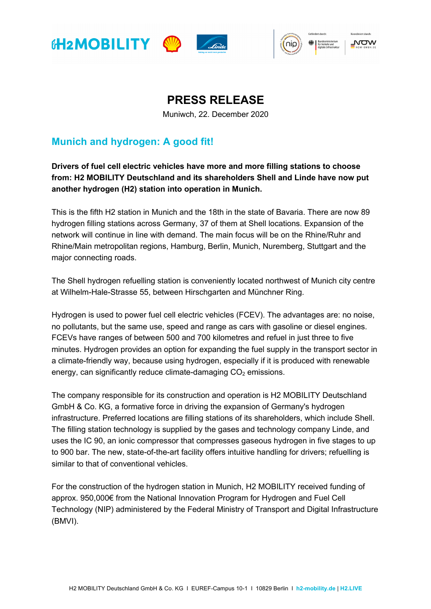







## **PRESS RELEASE**

Muniwch, 22. December 2020

## **Munich and hydrogen: A good fit!**

**Drivers of fuel cell electric vehicles have more and more filling stations to choose from: H2 MOBILITY Deutschland and its shareholders Shell and Linde have now put another hydrogen (H2) station into operation in Munich.** 

This is the fifth H2 station in Munich and the 18th in the state of Bavaria. There are now 89 hydrogen filling stations across Germany, 37 of them at Shell locations. Expansion of the network will continue in line with demand. The main focus will be on the Rhine/Ruhr and Rhine/Main metropolitan regions, Hamburg, Berlin, Munich, Nuremberg, Stuttgart and the major connecting roads.

The Shell hydrogen refuelling station is conveniently located northwest of Munich city centre at Wilhelm-Hale-Strasse 55, between Hirschgarten and Münchner Ring.

Hydrogen is used to power fuel cell electric vehicles (FCEV). The advantages are: no noise, no pollutants, but the same use, speed and range as cars with gasoline or diesel engines. FCEVs have ranges of between 500 and 700 kilometres and refuel in just three to five minutes. Hydrogen provides an option for expanding the fuel supply in the transport sector in a climate-friendly way, because using hydrogen, especially if it is produced with renewable energy, can significantly reduce climate-damaging  $CO<sub>2</sub>$  emissions.

The company responsible for its construction and operation is H2 MOBILITY Deutschland GmbH & Co. KG, a formative force in driving the expansion of Germany's hydrogen infrastructure. Preferred locations are filling stations of its shareholders, which include Shell. The filling station technology is supplied by the gases and technology company Linde, and uses the IC 90, an ionic compressor that compresses gaseous hydrogen in five stages to up to 900 bar. The new, state-of-the-art facility offers intuitive handling for drivers; refuelling is similar to that of conventional vehicles.

For the construction of the hydrogen station in Munich, H2 MOBILITY received funding of approx. 950,000€ from the National Innovation Program for Hydrogen and Fuel Cell Technology (NIP) administered by the Federal Ministry of Transport and Digital Infrastructure (BMVI).